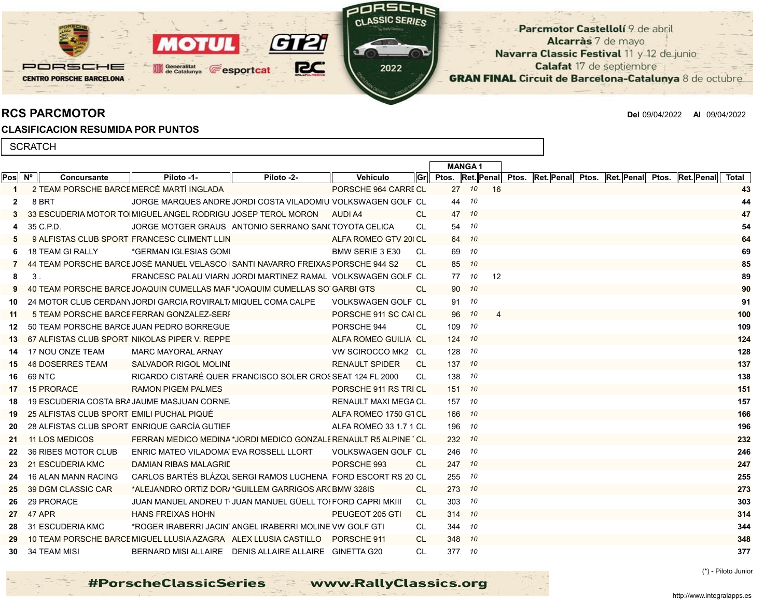Parcmotor Castellolí 9 de abril Alcarràs 7 de mayo Navarra Classic Festival 11 y 12 de junio Calafat 17 de septiembre **GRAN FINAL Circuit de Barcelona-Catalunya 8 de octubre** 

PORSCHE

**CENTRO PORSCHE BARCELONA** 

RCS PARCMOTOR Del 09/04/2022 Al 09/04/2022

## CLASIFICACION RESUMIDA POR PUNTOS

M

Generalitat<br>de Catalunya

| <b>SCRATCH</b> |                |                                           |                                                                                  |                                                        |                             |           |        |               |    |  |  |                                                          |            |       |  |
|----------------|----------------|-------------------------------------------|----------------------------------------------------------------------------------|--------------------------------------------------------|-----------------------------|-----------|--------|---------------|----|--|--|----------------------------------------------------------|------------|-------|--|
|                |                |                                           |                                                                                  |                                                        |                             |           |        | <b>MANGA1</b> |    |  |  |                                                          |            |       |  |
| Pos Nº         |                | Concursante                               | Piloto -1-                                                                       | Piloto -2-                                             | Vehiculo                    | Gr        |        |               |    |  |  | Ptos. Ret. Penal Ptos. Ret. Penal Ptos. Ret. Penal Ptos. | Ret. Penal | Total |  |
| 1              |                |                                           | 2 TEAM PORSCHE BARCE MERCÈ MARTÍ INGLADA                                         |                                                        | PORSCHE 964 CARRE CL        |           |        | 27 10         | 16 |  |  |                                                          |            | 43    |  |
| 2              |                | 8 BRT                                     | JORGE MARQUES ANDRE JORDI COSTA VILADOMIU VOLKSWAGEN GOLF CL                     |                                                        |                             |           |        | 44 10         |    |  |  |                                                          |            | 44    |  |
|                |                |                                           | 33 ESCUDERIA MOTOR TO MIGUEL ANGEL RODRIGU JOSEP TEROL MORON                     |                                                        | AUDI A4                     | CL.       |        | 47 10         |    |  |  |                                                          |            | 47    |  |
|                |                | 35 C.P.D.                                 | JORGE MOTGER GRAUS ANTONIO SERRANO SAN(TOYOTA CELICA                             |                                                        |                             | CL.       |        | 54 10         |    |  |  |                                                          |            | 54    |  |
|                |                |                                           | 9 ALFISTAS CLUB SPORT FRANCESC CLIMENT LLIN                                      |                                                        | ALFA ROMEO GTV 200 CL       |           |        | 64 10         |    |  |  |                                                          |            | 64    |  |
|                |                | 18 TEAM GI RALLY                          | *GERMAN IGLESIAS GOMI                                                            |                                                        | BMW SERIE 3 E30             | CL.       | 69     | 10            |    |  |  |                                                          |            | 69    |  |
|                |                |                                           | 44 TEAM PORSCHE BARCE JOSÉ MANUEL VELASCO   SANTI NAVARRO FREIXAS PORSCHE 944 S2 |                                                        |                             | CL.       | 85     | 10            |    |  |  |                                                          |            | 85    |  |
| 8              | 3 <sub>1</sub> |                                           | FRANCESC PALAU VIARN JORDI MARTINEZ RAMAL VOLKSWAGEN GOLF CL                     |                                                        |                             |           | 77     | 10            | 12 |  |  |                                                          |            | 89    |  |
|                |                |                                           | 40 TEAM PORSCHE BARCE JOAQUIN CUMELLAS MAR *JOAQUIM CUMELLAS SO GARBI GTS        |                                                        |                             | CL.       | 90     | 10            |    |  |  |                                                          |            | 90    |  |
| 10             |                |                                           | 24 MOTOR CLUB CERDANY JORDI GARCIA ROVIRALTI MIQUEL COMA CALPE                   |                                                        | VOLKSWAGEN GOLF CL          |           | 91     | 10            |    |  |  |                                                          |            | 91    |  |
| 11             |                |                                           | 5 TEAM PORSCHE BARCE FERRAN GONZALEZ-SERI                                        |                                                        | PORSCHE 911 SC CAI CL       |           | 96     | 10            |    |  |  |                                                          |            | 100   |  |
| 12.            |                |                                           | 50 TEAM PORSCHE BARCE JUAN PEDRO BORREGUE                                        |                                                        | PORSCHE 944                 | CL.       | 109 10 |               |    |  |  |                                                          |            | 109   |  |
| 13.            |                |                                           | 67 ALFISTAS CLUB SPORT NIKOLAS PIPER V. REPPE                                    |                                                        | ALFA ROMEO GUILIA CL        |           | 124 10 |               |    |  |  |                                                          |            | 124   |  |
| 14             |                | 17 NOU ONZE TEAM                          | <b>MARC MAYORAL ARNAY</b>                                                        |                                                        | VW SCIROCCO MK2 CL          |           | 128 10 |               |    |  |  |                                                          |            | 128   |  |
| 15             |                | <b>46 DOSERRES TEAM</b>                   | <b>SALVADOR RIGOL MOLINE</b>                                                     |                                                        | <b>RENAULT SPIDER</b>       | <b>CL</b> | 137 10 |               |    |  |  |                                                          |            | 137   |  |
| 16.            |                | 69 NTC                                    | RICARDO CISTARÉ QUER FRANCISCO SOLER CROSSEAT 124 FL 2000                        |                                                        |                             | CL        | 138 10 |               |    |  |  |                                                          |            | 138   |  |
| 17             |                | 15 PRORACE                                | <b>RAMON PIGEM PALMES</b>                                                        |                                                        | PORSCHE 911 RS TRI CL       |           |        | 151 10        |    |  |  |                                                          |            | 151   |  |
| 18             |                |                                           | 19 ESCUDERIA COSTA BRA JAUME MASJUAN CORNE                                       |                                                        | <b>RENAULT MAXI MEGA CL</b> |           | 157 10 |               |    |  |  |                                                          |            | 157   |  |
| 19             |                | 25 ALFISTAS CLUB SPORT EMILI PUCHAL PIQUÉ |                                                                                  |                                                        | ALFA ROMEO 1750 GTCL        |           |        | 166 10        |    |  |  |                                                          |            | 166   |  |
| 20             |                |                                           | 28 ALFISTAS CLUB SPORT ENRIQUE GARCÍA GUTIEF                                     |                                                        | ALFA ROMEO 33 1.7 1 CL      |           |        | 196 10        |    |  |  |                                                          |            | 196   |  |
| 21             |                | <b>11 LOS MEDICOS</b>                     | FERRAN MEDICO MEDINA *JORDI MEDICO GONZALE RENAULT R5 ALPINE "CL                 |                                                        |                             |           | 232 10 |               |    |  |  |                                                          |            | 232   |  |
| 22             |                | 36 RIBES MOTOR CLUB                       | ENRIC MATEO VILADOMA EVA ROSSELL LLORT                                           |                                                        | VOLKSWAGEN GOLF CL          |           | 246 10 |               |    |  |  |                                                          |            | 246   |  |
| 23             |                | 21 ESCUDERIA KMC                          | DAMIAN RIBAS MALAGRIE                                                            |                                                        | PORSCHE 993                 | CL.       | 247 10 |               |    |  |  |                                                          |            | 247   |  |
| 24             |                | <b>16 ALAN MANN RACING</b>                | CARLOS BARTÉS BLÁZQU SERGI RAMOS LUCHENA FORD ESCORT RS 20 CL                    |                                                        |                             |           | 255 10 |               |    |  |  |                                                          |            | 255   |  |
| 25             |                | 39 DGM CLASSIC CAR                        | *ALEJANDRO ORTIZ DORJ *GUILLEM GARRIGOS AR( BMW 328IS                            |                                                        |                             | CL.       | 273 10 |               |    |  |  |                                                          |            | 273   |  |
| 26             |                | 29 PRORACE                                | JUAN MANUEL ANDREU T-JUAN MANUEL GÜELL TOI FORD CAPRI MKIII                      |                                                        |                             | CL        |        | 303 10        |    |  |  |                                                          |            | 303   |  |
| 27             |                | 47 APR                                    | <b>HANS FREIXAS HOHN</b>                                                         |                                                        | PEUGEOT 205 GTI             | CL.       | 314 10 |               |    |  |  |                                                          |            | 314   |  |
| 28             |                | 31 ESCUDERIA KMC                          | *ROGER IRABERRI JACIN' ANGEL IRABERRI MOLINE VW GOLF GTI                         |                                                        |                             | CL.       | 344 10 |               |    |  |  |                                                          |            | 344   |  |
| 29             |                |                                           | 10 TEAM PORSCHE BARCE MIGUEL LLUSIA AZAGRA ALEX LLUSIA CASTILLO PORSCHE 911      |                                                        |                             | CL.       |        | 348 10        |    |  |  |                                                          |            | 348   |  |
|                |                | 30 34 TEAM MISI                           |                                                                                  | BERNARD MISI ALLAIRE DENIS ALLAIRE ALLAIRE GINETTA G20 |                             | <b>CL</b> |        | 377 10        |    |  |  |                                                          |            | 377   |  |

adR

21

EC

 $\boldsymbol{\sigma}$ 

**Fesportcat** 

CLASSIC SERIES

2022

(\*) - Piloto Junior

www.RallyClassics.org